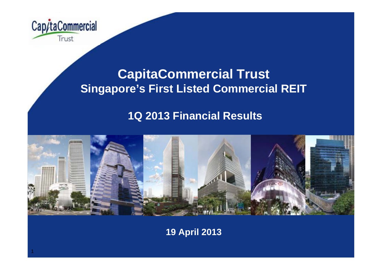

## **CapitaCommercial Trust Singapore's First Listed Commercial REIT**

### **1Q 2013 Financial Results**



**19 April 2013**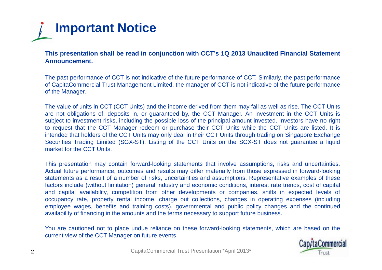

This presentation shall be read in conjunction with CCT's 1Q 2013 Unaudited Financial Statement **Announcement.**

The past performance of CCT is not indicative of the future performance of CCT. Similarly, the past performance of CapitaCommercial Trust Management Limited, the manager of CCT is not indicative of the future performance of the Manager.

The value of units in CCT (CCT Units) and the income derived from them may fall as well as rise. The CCT Units are not obligations of, deposits in, or guaranteed by, the CCT Manager. An investment in the CCT Units is subject to investment risks, including the possible loss of the principal amount invested. Investors have no right to request that the CCT Manager redeem or purchase their CCT Units while the CCT Units are listed. It is intended that holders of the CCT Units may only deal in their CCT Units through trading on Singapore Exchange Securities Trading Limited (SGX-ST). Listing of the CCT Units on the SGX-ST does not guarantee <sup>a</sup> liquid market for the CCT Units.

This presentation may contain forward-looking statements that involve assumptions, risks and uncertainties. Actual future performance, outcomes and results may differ materially from those expressed in forward-looking statements as <sup>a</sup> result of <sup>a</sup> number of risks, uncertainties and assumptions. Representative examples of these factors include (without limitation) general industry and economic conditions, interest rate trends, cost of capital and capital availability, competition from other developments or companies, shifts in expected levels of occupancy rate, property rental income, charge out collections, changes in operating expenses (including employee wages, benefits and training costs), governmental and public policy changes and the continued availability of financing in the amounts and the terms necessary to support future business.

You are cautioned not to place undue reliance on these forward-looking statements, which are based on the current view of the CCT Manager on future events.

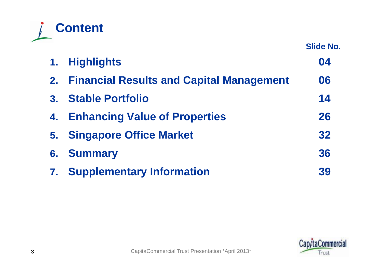

**Slide No.**

|    | 1. Highlights                                   | 04 |
|----|-------------------------------------------------|----|
| 2. | <b>Financial Results and Capital Management</b> | 06 |
|    | 3. Stable Portfolio                             | 14 |
| 4. | <b>Enhancing Value of Properties</b>            | 26 |
|    | 5. Singapore Office Market                      | 32 |
| 6. | <b>Summary</b>                                  | 36 |
| 7. | <b>Supplementary Information</b>                | 39 |

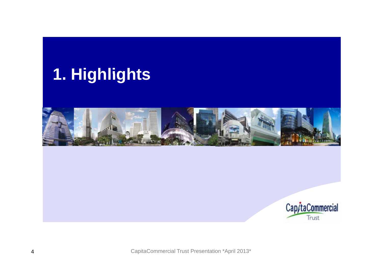## **Highlights 1.**



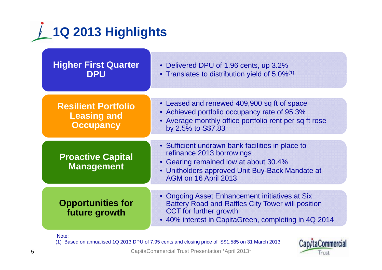

| <b>Higher First Quarter</b><br><b>DPU</b>                            | • Delivered DPU of 1.96 cents, up 3.2%<br>• Translates to distribution yield of 5.0% <sup>(1)</sup>                                                                                                 |  |  |  |  |  |
|----------------------------------------------------------------------|-----------------------------------------------------------------------------------------------------------------------------------------------------------------------------------------------------|--|--|--|--|--|
| <b>Resilient Portfolio</b><br><b>Leasing and</b><br><b>Occupancy</b> | • Leased and renewed 409,900 sq ft of space<br>• Achieved portfolio occupancy rate of 95.3%<br>• Average monthly office portfolio rent per sq ft rose<br>by 2.5% to S\$7.83                         |  |  |  |  |  |
| <b>Proactive Capital</b><br><b>Management</b>                        | • Sufficient undrawn bank facilities in place to<br>refinance 2013 borrowings<br>• Gearing remained low at about 30.4%<br>• Unitholders approved Unit Buy-Back Mandate at<br>AGM on 16 April 2013   |  |  |  |  |  |
| <b>Opportunities for</b><br>future growth                            | • Ongoing Asset Enhancement initiatives at Six<br><b>Battery Road and Raffles City Tower will position</b><br><b>CCT</b> for further growth<br>• 40% interest in CapitaGreen, completing in 4Q 2014 |  |  |  |  |  |

Note:

(1) Based on annualised 1Q 2013 DPU of 7.95 cents and closing price of S\$1.585 on 31 March 2013

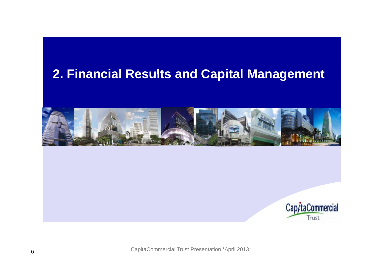## **Financial Results and Capital Management 2.**



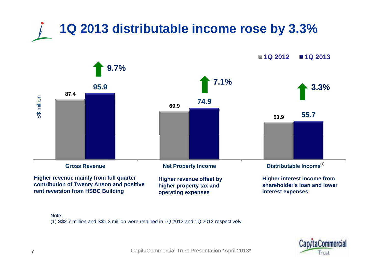

**contribution of Twenty Anson and positive rent reversion from HSBC Building higher property tax and operating expenses**

**shareholder's loan and lower interest expenses**

Note:

(1) S\$2.7 million and S\$1.3 million were retained in 1Q 2013 and 1Q 2012 respectively

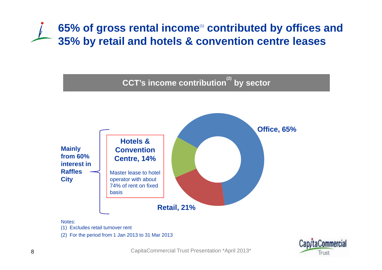## **65% of gross rental income**(1) **contributed by offices and**  35% by retail and hotels & convention centre leases



Notes:

(1) Excludes retail turnover rent

(2) For the period from 1 Jan 2013 to 31 Mar 2013

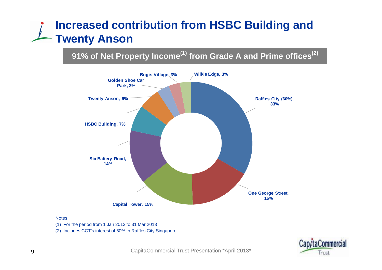## **Increased contribution from HSBC Building and Twent y Anson**

### **91% of Net Property Income(1) from Grade A and Prime offices(2)**



#### Notes:

- (1) For the period from 1 Jan 2013 to 31 Mar 2013
- (2) Includes CCT's interest of 60% in Raffles City Singapore

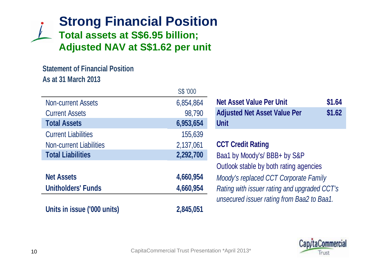## **Strong Financial Position Total assets at S\$6.95 billion; Adjusted NAV at S \$1.62 per unit**

### **Statement of Financial PositionAs at 31 March 2013**

|                                | S\$ '000  |                                              |        |
|--------------------------------|-----------|----------------------------------------------|--------|
| <b>Non-current Assets</b>      | 6,854,864 | <b>Net Asset Value Per Unit</b>              | \$1.64 |
| <b>Current Assets</b>          | 98,790    | <b>Adjusted Net Asset Value Per</b>          | \$1.62 |
| <b>Total Assets</b>            | 6,953,654 | <b>Unit</b>                                  |        |
| <b>Current Liabilities</b>     | 155,639   |                                              |        |
| <b>Non-current Liabilities</b> | 2,137,061 | <b>CCT Credit Rating</b>                     |        |
| <b>Total Liabilities</b>       | 2,292,700 | Baa1 by Moody's/ BBB+ by S&P                 |        |
|                                |           | Outlook stable by both rating agencies       |        |
| <b>Net Assets</b>              | 4,660,954 | Moody's replaced CCT Corporate Family        |        |
| <b>Unitholders' Funds</b>      | 4,660,954 | Rating with issuer rating and upgraded CCT's |        |
|                                |           | unsecured issuer rating from Baa2 to Baa1.   |        |
| Units in issue ('000 units)    | 2,845,051 |                                              |        |

| 6,854,864 | <b>Net Asset Value Per Unit</b>     | \$1.64 |
|-----------|-------------------------------------|--------|
| 98,790    | <b>Adjusted Net Asset Value Per</b> | \$1.62 |
| 6,953,654 | <b>Unit</b>                         |        |

#### **CCT Credit Rating**

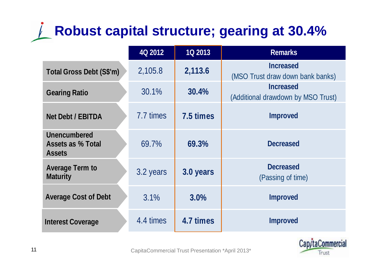# **Robust capital structure; gearing at 30.4%**

|                                                                  | 4Q 2012   | <b>1Q 2013</b> | <b>Remarks</b>                                         |
|------------------------------------------------------------------|-----------|----------------|--------------------------------------------------------|
| <b>Total Gross Debt (S\$'m)</b>                                  | 2,105.8   | 2,113.6        | <b>Increased</b><br>(MSO Trust draw down bank banks)   |
| <b>Gearing Ratio</b>                                             | 30.1%     | 30.4%          | <b>Increased</b><br>(Additional drawdown by MSO Trust) |
| <b>Net Debt / EBITDA</b>                                         | 7.7 times | 7.5 times      | <b>Improved</b>                                        |
| <b>Unencumbered</b><br><b>Assets as % Total</b><br><b>Assets</b> | 69.7%     | 69.3%          | <b>Decreased</b>                                       |
| <b>Average Term to</b><br><b>Maturity</b>                        | 3.2 years | 3.0 years      | <b>Decreased</b><br>(Passing of time)                  |
| <b>Average Cost of Debt</b>                                      | 3.1%      | 3.0%           | <b>Improved</b>                                        |
| <b>Interest Coverage</b>                                         | 4.4 times | 4.7 times      | <b>Improved</b>                                        |

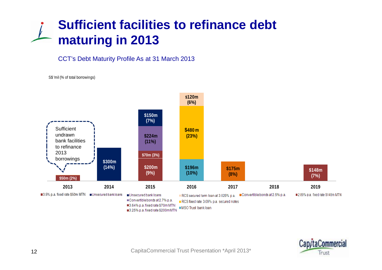## **Sufficient facilities to refinance debt maturing** in 2013

#### CCT's Debt Maturity Profile As at 31 March 2013

#### S\$ 'mil (% of total borrowings)



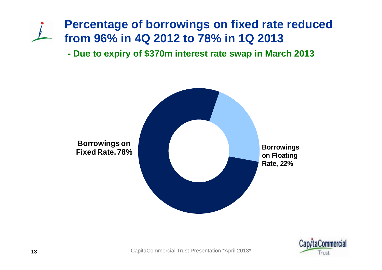## **Percentage of borrowings on fixed rate reduced from 96% in 4Q Q 2012 to 78% in 1 Q 2013**

**- Due to expiry of \$370m interest rate swap in March 2013**



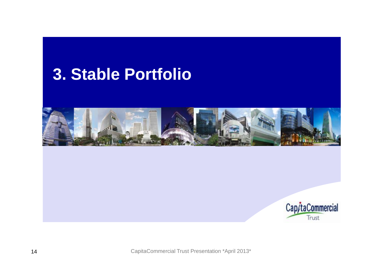## **Stable Portfolio 3.**



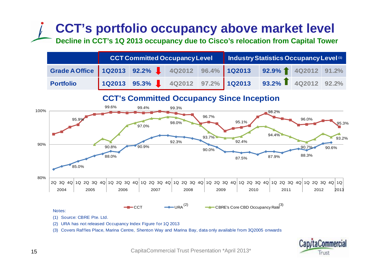## **CCT's portfolio occupancy above market level**

Decline in CCT's 1Q 2013 occupancy due to Cisco's relocation from Capital Tower

|                                                                          |  |  | <b>CCT Committed Occupancy Level   Industry Statistics Occupancy Level (1)</b> |  |  |  |  |
|--------------------------------------------------------------------------|--|--|--------------------------------------------------------------------------------|--|--|--|--|
| Grade A Office   1Q2013 92.2%   4Q2012 96.4% 1Q2013 92.9% 1 4Q2012 91.2% |  |  |                                                                                |  |  |  |  |
| <b>Portfolio</b>                                                         |  |  |                                                                                |  |  |  |  |

**CCT's Committed Occupancy Since Inception**



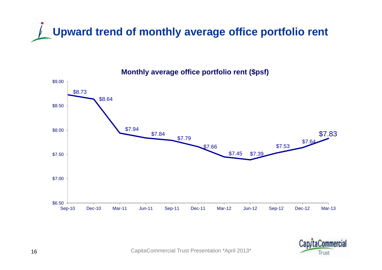



#### **Monthly average office portfolio rent (\$psf)**

**Irust**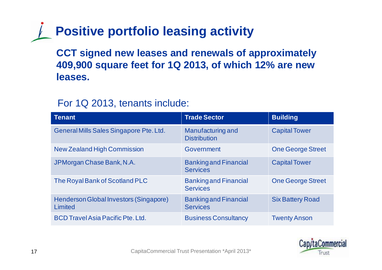# **Positive portfolio leasing activity**

**CCT signed new leases and renewals of approximately 409,900 square feet for 1Q 2013, of which 12% are new leases.**

### For 1Q 2013, tenants include:

| Tenant                                            | <b>Trade Sector</b>                             | <b>Building</b>          |
|---------------------------------------------------|-------------------------------------------------|--------------------------|
| General Mills Sales Singapore Pte. Ltd.           | Manufacturing and<br><b>Distribution</b>        | <b>Capital Tower</b>     |
| <b>New Zealand High Commission</b>                | Government                                      | <b>One George Street</b> |
| JPMorgan Chase Bank, N.A.                         | <b>Banking and Financial</b><br><b>Services</b> | <b>Capital Tower</b>     |
| The Royal Bank of Scotland PLC                    | <b>Banking and Financial</b><br><b>Services</b> | <b>One George Street</b> |
| Henderson Global Investors (Singapore)<br>Limited | <b>Banking and Financial</b><br><b>Services</b> | <b>Six Battery Road</b>  |
| <b>BCD Travel Asia Pacific Pte. Ltd.</b>          | <b>Business Consultancy</b>                     | <b>Twenty Anson</b>      |

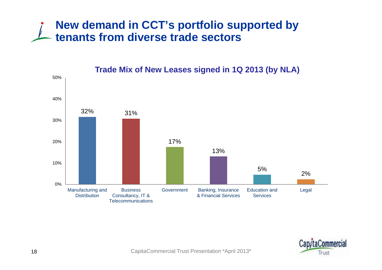### **New demand in CCT's portfolio supported by tenants from diverse trade sectors**



#### **Trade Mix of New Leases si gned in 1Q 2013 ( b y NLA ) g (y**

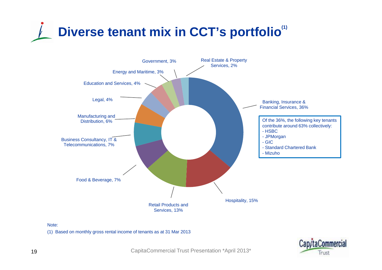# **Diverse tenant mix in CCT's portfolio(1)**





(1) Based on monthly gross rental income of tenants as at 31 Mar 2013

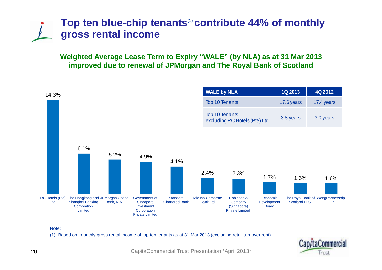### **Top ten blue-chip tenants**(1) **contribute 44% of monthly gross rental income**

**Weighted Average Lease Term to Expiry "WALE" (by NLA) as at 31 Mar 2013 improved due to renewal of JPMorgan and The Royal Bank of Scotland**



Note:

(1) Based on monthly gross rental income of top ten tenants as at 31 Mar 2013 (excluding retail turnover rent)

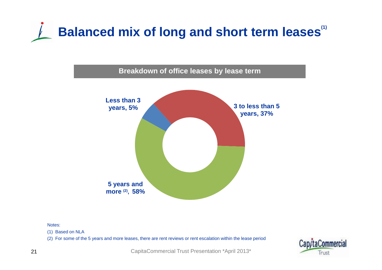



Notes:

(1) Based on NLA

(2) For some of the 5 years and more leases, there are rent reviews or rent escalation within the lease period

![](_page_20_Picture_5.jpeg)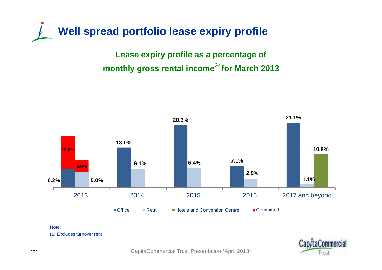**Well spread portfolio lease expiry profile**

**Lease expiry profile as a percentage of monthly gross rental income(1) for March 2013**

![](_page_21_Figure_2.jpeg)

Note:

(1) Excludes turnover rent

![](_page_21_Picture_5.jpeg)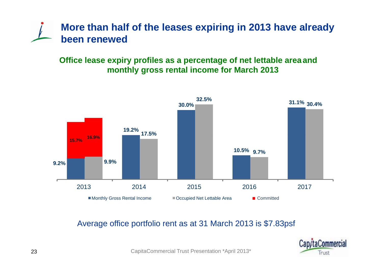![](_page_22_Picture_0.jpeg)

### **Office lease expiry profiles as a percentage of net lettable area and monthl y gross rental income for March 2013**

![](_page_22_Figure_2.jpeg)

#### Average office portfolio rent as at 31 March 2013 is \$7.83psf

![](_page_22_Picture_4.jpeg)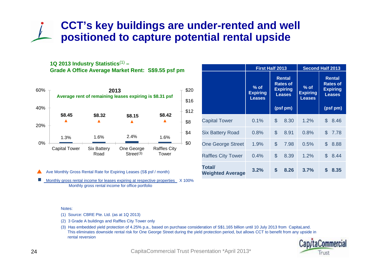### **CCT's key buildings are under-rented and well positioned to capture potential rental upside**

**1Q 2013 Industry Statistics**(1) **– Grade A Office Average Market Rent: S\$9.55 psf pm** 

![](_page_23_Figure_2.jpeg)

|                                   | <b>First Half 2013</b>                     |                                                                                  | <b>Second Half 2013</b>                    |                                                                                  |  |  |
|-----------------------------------|--------------------------------------------|----------------------------------------------------------------------------------|--------------------------------------------|----------------------------------------------------------------------------------|--|--|
|                                   | $%$ of<br><b>Expiring</b><br><b>Leases</b> | <b>Rental</b><br><b>Rates of</b><br><b>Expiring</b><br><b>Leases</b><br>(psf pm) | $%$ of<br><b>Expiring</b><br><b>Leases</b> | <b>Rental</b><br><b>Rates of</b><br><b>Expiring</b><br><b>Leases</b><br>(psf pm) |  |  |
| <b>Capital Tower</b>              | 0.1%                                       | \$<br>8.30                                                                       | 1.2%                                       | \$<br>8.46                                                                       |  |  |
| <b>Six Battery Road</b>           | 0.8%                                       | \$<br>8.91                                                                       | 0.8%                                       | \$<br>7.78                                                                       |  |  |
| <b>One George Street</b>          | 1.9%                                       | \$<br>7.98                                                                       | 0.5%                                       | \$<br>8.88                                                                       |  |  |
| <b>Raffles City Tower</b>         | 0.4%                                       | \$<br>8.39                                                                       | 1.2%                                       | \$<br>8.44                                                                       |  |  |
| Total/<br><b>Weighted Average</b> | 3.2%                                       | \$<br>8.26                                                                       | 3.7%                                       | S<br>8.35                                                                        |  |  |

Ave Monthly Gross Rental Rate for Expiring Leases (S\$ psf / month)

F Monthly gross rental income for leases expiring at respective properties X 100% Monthly gross rental income for office portfolio

#### Notes:

(1) Source: CBRE Pte. Ltd. (as at 1Q 2013)

(2) 3 Grade A buildings and Raffles City Tower only

(3) Has embedded yield protection of 4.25% p.a., based on purchase consideration of S\$1.165 billion until 10 July 2013 from CapitaLand. This eliminates downside rental risk for One George Street during the yield protection period, but allows CCT to benefit from any upside in rental reversion

![](_page_23_Picture_10.jpeg)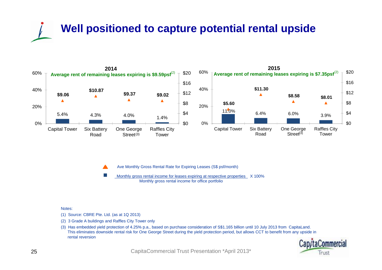# **Well positioned to capture potential rental upside**

![](_page_24_Figure_1.jpeg)

Ave Monthly Gross Rental Rate for Expiring Leases (S\$ psf/month)

Monthly gross rental income for leases expiring at respective properties X 100% Monthly gross rental income for office portfolio Ave Monthly Gross Rental Rate for Expiring Leases (S\$ psf/month)<br>Monthly gross rental income for leases expiring at respective prope<br>Monthly gross rental income for office portfolio<br>Notes:

(1) Source: CBRE Pte. Ltd. (as at 1Q 2013)

(2) 3 Grade A buildings and Raffles City Tower only

(3) Has embedded yield protection of 4.25% p.a., based on purchase consideration of S\$1.165 billion until 10 July 2013 from CapitaLand. This eliminates downside rental risk for One George Street during the yield protection period, but allows CCT to benefit from any upside in rental reversion

![](_page_24_Picture_8.jpeg)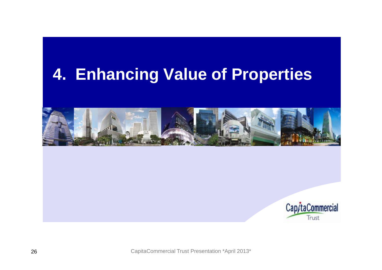## **Enhancing Value of Properties 4. of**

![](_page_25_Picture_1.jpeg)

![](_page_25_Picture_2.jpeg)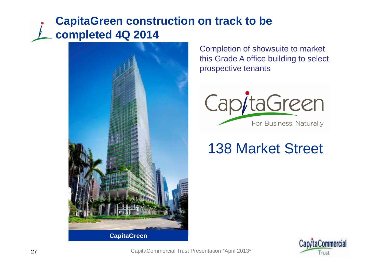## **CapitaGreen construction on track to be completed 4Q 2014**

![](_page_26_Picture_1.jpeg)

Completion of showsuite to market this Grade A office building to select prospective tenants

![](_page_26_Picture_3.jpeg)

## 138 Market Street

![](_page_26_Picture_5.jpeg)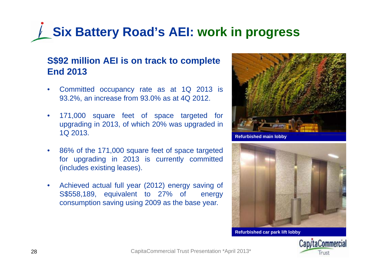# **Six Battery Road's AEI: work in progress**

### **S\$92 million AEI is on track to complete End 2013**

- $\bullet$  Committed occupancy rate as at 1Q 2013 is 93.2%, an increase from 93.0% as at 4Q 2012.
- $\bullet$  171,000 square feet of space targeted for upgrading in 2013, of which 20% was upgraded in 1Q 2013.
- $\bullet$  86% of the 171,000 square feet of space targeted for upgrading in 2013 is currently committed (includes existing leases).
- $\bullet$  Achieved actual full year (2012) energy saving of S \$558,189, equivalent to 27 % of energy consumption saving using 2009 as the base year.

![](_page_27_Picture_6.jpeg)

**Refurbished main lobb y**

![](_page_27_Picture_8.jpeg)

**Refurbished car park lift lobby** 

![](_page_27_Picture_10.jpeg)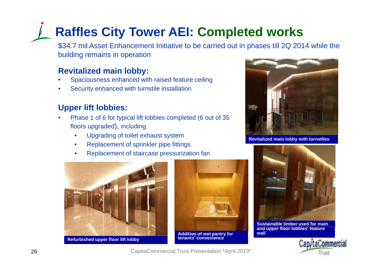## **Raffles City Tower AEI: Completed works**

\$34.7 mil Asset Enhancement Initiative to be carried out in phases till 2Q 2014 while the building remains in operation

#### **Revitalized main lobby:**

- •Spaciousness enhanced with raised feature ceiling
- •Security enhanced with turnstile installation

### **Upper lift lobbies:**

- • Phase 1 of 6 for typical lift lobbies completed (6 out of 35 floors upgraded), including
	- •Upgrading of toilet exhaust system
	- •Replacement of sprinkler pipe fittings
	- •Replacement of staircase pressurization fan

![](_page_28_Picture_10.jpeg)

![](_page_28_Picture_11.jpeg)

![](_page_28_Picture_14.jpeg)

**Revitalized main lobby with turnstiles** 

![](_page_28_Picture_16.jpeg)

**Sustainable timber used for main and upper floor lobbies' feature wall** 

![](_page_28_Picture_18.jpeg)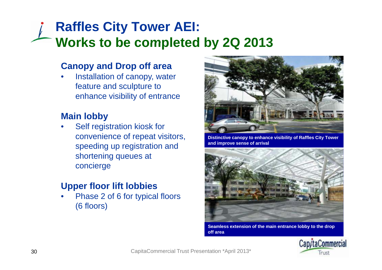## **Raffles City Tower AEI: Works to be completed by 2Q 2013 2013**

### **Canopy and Drop off area**

•• Installation of canopy, water feature and sculpture to enhance visibility of entrance

### **Main lobby**

• Self registration kiosk for convenience of repeat visitors, speeding up registration and shortening queues at concierge

### **Upper floor lift lobbies**

•• Phase 2 of 6 for typical floors (6 floors)

![](_page_29_Picture_7.jpeg)

**Distinctive canopy to enhance visibility of Raffles City Tower and improve sense of arrival**

![](_page_29_Picture_9.jpeg)

**Seamless extension of the main entrance lobby to the drop off area**

![](_page_29_Picture_11.jpeg)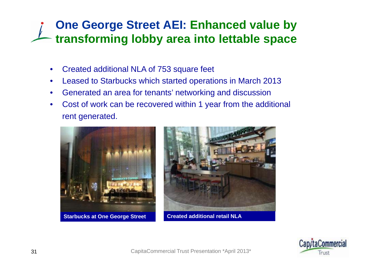## **One George Street AEI: Enhanced value by**  transforming lobby area into lettable space

- •Created additional NLA of 753 square feet
- •Leased to Starbucks which started operations in March 2013
- •Generated an area for tenants' networking and discussion
- •• Cost of work can be recovered within 1 year from the additional rent generated.

![](_page_30_Picture_5.jpeg)

![](_page_30_Picture_6.jpeg)

![](_page_30_Picture_8.jpeg)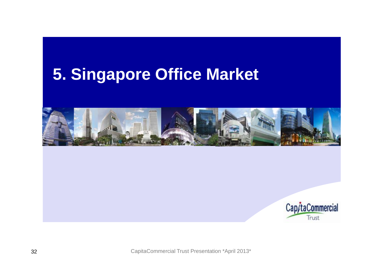## **Singapore Office Market 5.**

![](_page_31_Picture_1.jpeg)

![](_page_31_Picture_2.jpeg)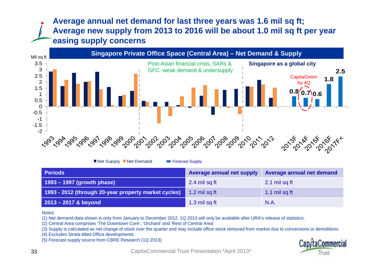### **Average annual net demand for last three years was 1.6 mil sq ft; Average new supply from 2013 to 2016 will be about 1.0 mil sq ft per year easing supply concerns**

![](_page_32_Figure_1.jpeg)

■ Net Supply ■ Net Demand Forecast Supply

| <b>Periods</b>                                       | <b>Average annual net supply</b> | Average annual net demand |
|------------------------------------------------------|----------------------------------|---------------------------|
| $1993 - 1997$ (growth phase)                         | 2.4 mil sq ft                    | 2.1 mil sq ft             |
| 1993 - 2012 (through 20-year property market cycles) | 1.2 mil sq ft                    | 1.1 mil sq ft             |
| $2013 - 2017$ & beyond                               | 1.3 mil sq ft                    | N.A.                      |

Notes:

(1) Net demand data shown is only from January to December 2012. 1Q 2013 will only be available after URA's release of statistics.

(2) Central Area comprises 'The Downtown Core', 'Orchard' and 'Rest of Central Area'

(3) Supply is calculated as net change of stock over the quarter and may include office stock removed from market due to conversions or demolitions

(4) Excludes Strata-titled Office developments

(5) Forecast supply source from CBRE Research (1Q 2013)

![](_page_32_Picture_11.jpeg)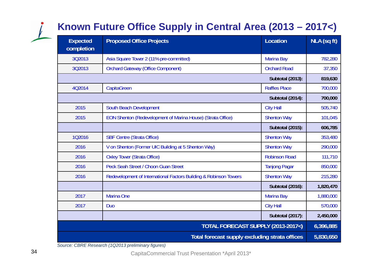## **Known Future Office Supply in Central Area (2013 – 2017<)**

| <b>Expected</b><br>completion      | <b>Proposed Office Projects</b>                                   | <b>Location</b>         | NLA (sq ft) |  |  |
|------------------------------------|-------------------------------------------------------------------|-------------------------|-------------|--|--|
| 3Q2013                             | Asia Square Tower 2 (11% pre-committed)                           | <b>Marina Bay</b>       | 782,280     |  |  |
| 3Q2013                             | <b>Orchard Gateway (Office Component)</b>                         | <b>Orchard Road</b>     | 37,350      |  |  |
|                                    |                                                                   | <b>Subtotal (2013):</b> | 819,630     |  |  |
| 4Q2014                             | CapitaGreen                                                       | <b>Raffles Place</b>    | 700,000     |  |  |
|                                    |                                                                   | <b>Subtotal (2014):</b> | 700,000     |  |  |
| 2015                               | South Beach Development                                           | <b>City Hall</b>        | 505,740     |  |  |
| 2015                               | EON Shenton (Redevelopment of Marina House) (Strata Office)       | <b>Shenton Way</b>      | 101,045     |  |  |
|                                    |                                                                   | <b>Subtotal (2015):</b> | 606,785     |  |  |
| 102016                             | <b>SBF Centre (Strata Office)</b>                                 | <b>Shenton Way</b>      | 353,480     |  |  |
| 2016                               | V on Shenton (Former UIC Building at 5 Shenton Way)               | <b>Shenton Way</b>      | 290,000     |  |  |
| 2016                               | <b>Oxley Tower (Strata Office)</b>                                | <b>Robinson Road</b>    | 111,710     |  |  |
| 2016                               | Peck Seah Street / Choon Guan Street                              | <b>Tanjong Pagar</b>    | 850,000     |  |  |
| 2016                               | Redevelopment of International Factors Building & Robinson Towers | <b>Shenton Way</b>      | 215,280     |  |  |
|                                    |                                                                   | <b>Subtotal (2016):</b> | 1,820,470   |  |  |
| 2017                               | <b>Marina One</b>                                                 | <b>Marina Bay</b>       | 1,880,000   |  |  |
| 2017                               | <b>Duo</b>                                                        | <b>City Hall</b>        | 570,000     |  |  |
|                                    |                                                                   | <b>Subtotal (2017):</b> | 2,450,000   |  |  |
| TOTAL FORECAST SUPPLY (2013-2017<) |                                                                   |                         |             |  |  |
|                                    | Total forecast supply excluding strata offices                    |                         | 5,830,650   |  |  |

*Source: CBRE Research (1Q2013 preliminary figures)*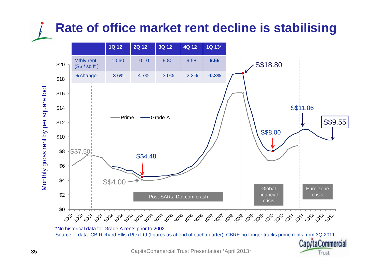## **Rate of office market rent decline is stabilising**

![](_page_34_Figure_1.jpeg)

CapitaCommercial Trust Presentation \*April 2013\*

Trust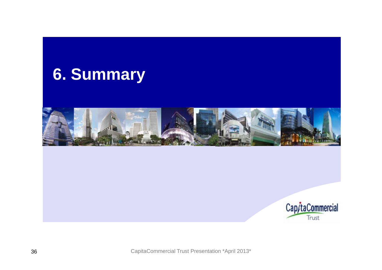![](_page_35_Picture_0.jpeg)

![](_page_35_Picture_1.jpeg)

![](_page_35_Picture_2.jpeg)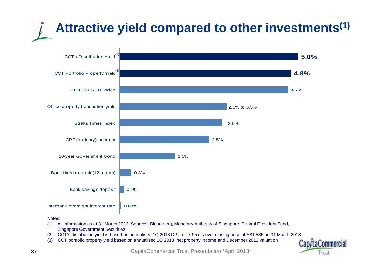# **Attractive yield compared to other investments(1)**

![](_page_36_Figure_1.jpeg)

#### Notes:

- (1) All information as at 31 March 2013. Sources: Bloomberg, Monetary Authority of Singapore, Central Provident Fund, Singapore Government Securities
- (2) CCT's distribution yield is based on annualised 1Q 2013 DPU of 7.95 cts over closing price of S\$1.585 on 31 March 2013
- (3) CCT portfolio property yield based on annualised 1Q 2013 net property income and December 2012 valuation

![](_page_36_Picture_6.jpeg)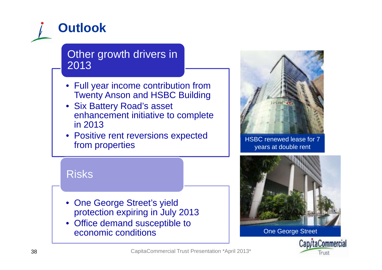![](_page_37_Figure_0.jpeg)

### Other growth drivers in 2013

- Full year income contribution from Twenty Anson and HSBC Building
- Six Battery Road's asset enhancement initiative to complete in 2013
- $\bullet\,$  Positive rent reversions expected FUSILIVE TETIL TEVETSIONS EXPECTED<br>
From properties<br>
HSBC renewed lease for 7<br>
years at double rent

![](_page_37_Picture_5.jpeg)

## Risks

- One George Street's yield protection expiring in July 2013
- Office demand susceptible to economic conditions

![](_page_37_Picture_10.jpeg)

One George Street

![](_page_37_Picture_12.jpeg)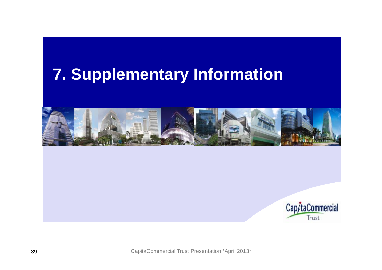## **Supplementary Information 7.**

![](_page_38_Picture_1.jpeg)

![](_page_38_Picture_2.jpeg)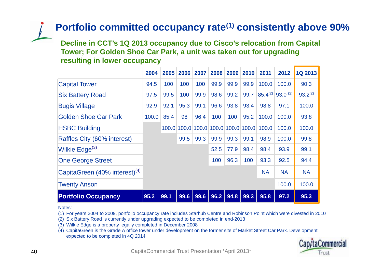### **Portfolio committed occupancy rate(1) consistently above 90%**

Decline in CCT's 1Q 2013 occupancy due to Cisco's relocation from Capital **Tower; For Golden Shoe Car Park, a unit was taken out for upgrading resulting in lower occupancy**

|                                           | 2004  | 2005  | 2006 | 2007 | 2008              | 2009 | 2010        | 2011         | 2012         | <b>1Q 2013</b> |
|-------------------------------------------|-------|-------|------|------|-------------------|------|-------------|--------------|--------------|----------------|
| <b>Capital Tower</b>                      | 94.5  | 100   | 100  | 100  | 99.9              | 99.9 | 99.9        | 100.0        | 100.0        | 90.3           |
| <b>Six Battery Road</b>                   | 97.5  | 99.5  | 100  | 99.9 | 98.6              | 99.2 | 99.7        | $85.4^{(2)}$ | $93.0^{(2)}$ | $93.2^{(2)}$   |
| <b>Bugis Village</b>                      | 92.9  | 92.1  | 95.3 | 99.1 | 96.6              | 93.8 | 93.4        | 98.8         | 97.1         | 100.0          |
| <b>Golden Shoe Car Park</b>               | 100.0 | 85.4  | 98   | 96.4 | 100               | 100  | 95.2        | 100.0        | 100.0        | 93.8           |
| <b>HSBC Building</b>                      |       | 100.0 |      |      | 100.0 100.0 100.0 |      | 100.0 100.0 | 100.0        | 100.0        | 100.0          |
| Raffles City (60% interest)               |       |       | 99.5 | 99.3 | 99.9              | 99.3 | 99.1        | 98.9         | 100.0        | 99.8           |
| Wilkie Edge <sup>(3)</sup>                |       |       |      |      | 52.5              | 77.9 | 98.4        | 98.4         | 93.9         | 99.1           |
| <b>One George Street</b>                  |       |       |      |      | 100               | 96.3 | 100         | 93.3         | 92.5         | 94.4           |
| CapitaGreen (40% interest) <sup>(4)</sup> |       |       |      |      |                   |      |             | <b>NA</b>    | <b>NA</b>    | <b>NA</b>      |
| <b>Twenty Anson</b>                       |       |       |      |      |                   |      |             |              | 100.0        | 100.0          |
| <b>Portfolio Occupancy</b>                | 95.2  | 99.1  | 99.6 | 99.6 | 96.2              | 94.8 | 99.3        | 95.8         | 97.2         | 95.3           |

#### Notes:

(1) For years 2004 to 2009, portfolio occupancy rate includes Starhub Centre and Robinson Point which were divested in 2010

- (2) Six Battery Road is currently under upgrading expected to be completed in end-2013
- (3) Wilkie Edge is a property legally completed in December 2008

(4) CapitaGreen is the Grade A office tower under development on the former site of Market Street Car Park. Development expected to be completed in 4Q 2014

![](_page_39_Picture_8.jpeg)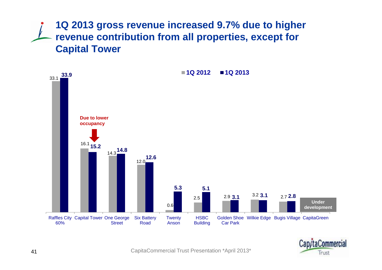**1Q 2013 gross revenue increased 9.7% due to higher revenue contribution from all properties, except for Capital Tower**

![](_page_40_Figure_1.jpeg)

![](_page_40_Picture_2.jpeg)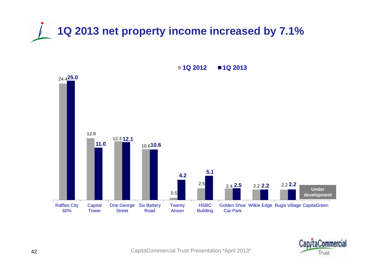![](_page_41_Picture_0.jpeg)

![](_page_41_Figure_1.jpeg)

**1Q 2012 1Q 2013**

![](_page_41_Picture_3.jpeg)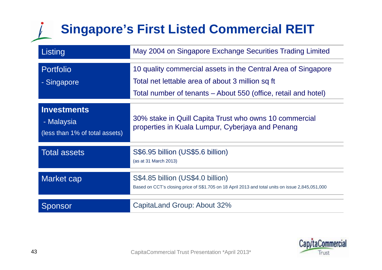## **Singapore's First Listed Commercial REIT**

| Listing                                                            | May 2004 on Singapore Exchange Securities Trading Limited                                                                                                                           |
|--------------------------------------------------------------------|-------------------------------------------------------------------------------------------------------------------------------------------------------------------------------------|
| <b>Portfolio</b><br>- Singapore                                    | 10 quality commercial assets in the Central Area of Singapore<br>Total net lettable area of about 3 million sq ft<br>Total number of tenants – About 550 (office, retail and hotel) |
| <b>Investments</b><br>- Malaysia<br>(less than 1% of total assets) | 30% stake in Quill Capita Trust who owns 10 commercial<br>properties in Kuala Lumpur, Cyberjaya and Penang                                                                          |
| <b>Total assets</b>                                                | S\$6.95 billion (US\$5.6 billion)<br>(as at 31 March 2013)                                                                                                                          |
| <b>Market cap</b>                                                  | S\$4.85 billion (US\$4.0 billion)<br>Based on CCT's closing price of S\$1.705 on 18 April 2013 and total units on issue 2,845,051,000                                               |
| Sponsor                                                            | CapitaLand Group: About 32%                                                                                                                                                         |

![](_page_42_Picture_2.jpeg)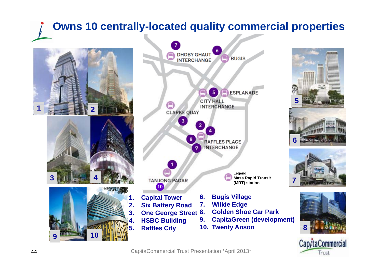## **Owns 10 centrally-located quality commercial properties**

![](_page_43_Picture_1.jpeg)

![](_page_43_Figure_2.jpeg)

![](_page_43_Picture_3.jpeg)

![](_page_43_Picture_4.jpeg)

![](_page_43_Picture_5.jpeg)

![](_page_43_Picture_6.jpeg)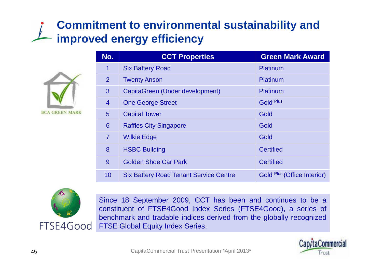## **Commitment to environmental sustainability and improved energy efficiency**

![](_page_44_Picture_1.jpeg)

| No.            | <b>CCT Properties</b>                         | <b>Green Mark Award</b>     |  |
|----------------|-----------------------------------------------|-----------------------------|--|
| $\overline{1}$ | <b>Six Battery Road</b>                       | Platinum                    |  |
| 2              | <b>Twenty Anson</b>                           | Platinum                    |  |
| 3              | CapitaGreen (Under development)               | Platinum                    |  |
| $\overline{4}$ | <b>One George Street</b>                      | <b>Gold Plus</b>            |  |
| 5              | <b>Capital Tower</b>                          | Gold                        |  |
| 6              | <b>Raffles City Singapore</b>                 | Gold                        |  |
| $\overline{7}$ | <b>Wilkie Edge</b>                            | Gold                        |  |
| 8              | <b>HSBC Building</b>                          | <b>Certified</b>            |  |
| 9              | <b>Golden Shoe Car Park</b>                   | <b>Certified</b>            |  |
| 10             | <b>Six Battery Road Tenant Service Centre</b> | Gold Plus (Office Interior) |  |

![](_page_44_Picture_3.jpeg)

Since 18 September 2009, CCT has been and continues to be <sup>a</sup> constituent of FTSE4Good Index Series (FTSE4Good), <sup>a</sup> series of benchmark and tradable indices derived from the globally recognized FTSE Global Equity Index Series Series.

![](_page_44_Picture_6.jpeg)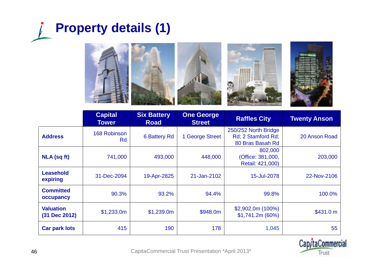![](_page_45_Picture_0.jpeg)

![](_page_45_Picture_1.jpeg)

|                                   | <b>Capital</b><br><b>Tower</b> | <b>Six Battery</b><br><b>Road</b> | <b>One George</b><br><b>Street</b> | <b>Raffles City</b>                                            | <b>Twenty Anson</b> |
|-----------------------------------|--------------------------------|-----------------------------------|------------------------------------|----------------------------------------------------------------|---------------------|
| <b>Address</b>                    | 168 Robinson<br><b>Rd</b>      | <b>6 Battery Rd</b>               | 1 George Street                    | 250/252 North Bridge<br>Rd; 2 Stamford Rd;<br>80 Bras Basah Rd | 20 Anson Road       |
| <b>NLA (sq ft)</b>                | 741,000                        | 493,000                           | 448,000                            | 802,000<br>(Office: 381,000,<br>Retail: 421,000)               | 203,000             |
| <b>Leasehold</b><br>expiring      | 31-Dec-2094                    | 19-Apr-2825                       | 21-Jan-2102                        | 15-Jul-2078                                                    | 22-Nov-2106         |
| <b>Committed</b><br>occupancy     | 90.3%                          | 93.2%                             | 94.4%                              | 99.8%                                                          | 100.0%              |
| <b>Valuation</b><br>(31 Dec 2012) | \$1,233.0m                     | \$1,239.0m                        | \$948.0m                           | \$2,902.0m(100%)<br>\$1,741.2m (60%)                           | \$431.0 m           |
| <b>Car park lots</b>              | 415                            | 190                               | 178                                | 1,045                                                          | 55                  |

![](_page_45_Picture_3.jpeg)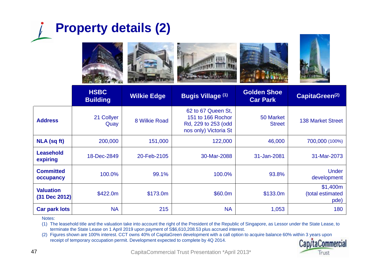![](_page_46_Picture_0.jpeg)

![](_page_46_Picture_1.jpeg)

![](_page_46_Picture_2.jpeg)

|                                   | <b>HSBC</b><br><b>Building</b> | <b>Wilkie Edge</b> | <b>Bugis Village (1)</b>                                                                | <b>Golden Shoe</b><br><b>Car Park</b> | CapitaGreen <sup>(2)</sup>           |
|-----------------------------------|--------------------------------|--------------------|-----------------------------------------------------------------------------------------|---------------------------------------|--------------------------------------|
| <b>Address</b>                    | 21 Collyer<br>Quay             | 8 Wilkie Road      | 62 to 67 Queen St,<br>151 to 166 Rochor<br>Rd, 229 to 253 (odd<br>nos only) Victoria St | 50 Market<br><b>Street</b>            | <b>138 Market Street</b>             |
| <b>NLA (sq ft)</b>                | 200,000                        | 151,000            | 122,000                                                                                 | 46,000                                | 700,000 (100%)                       |
| <b>Leasehold</b><br>expiring      | 18-Dec-2849                    | 20-Feb-2105        | 30-Mar-2088                                                                             | 31-Jan-2081                           | 31-Mar-2073                          |
| <b>Committed</b><br>occupancy     | 100.0%                         | 99.1%              | 100.0%                                                                                  | 93.8%                                 | <b>Under</b><br>development          |
| <b>Valuation</b><br>(31 Dec 2012) | \$422.0m                       | \$173.0m           | \$60.0m                                                                                 | \$133.0m                              | \$1,400m<br>(total estimated<br>pde) |
| <b>Car park lots</b>              | <b>NA</b>                      | 215                | <b>NA</b>                                                                               | 1,053                                 | 180                                  |

Notes:

(1) The leasehold title and the valuation take into account the right of the President of the Republic of Singapore, as Lessor under the State Lease, to terminate the State Lease on 1 April 2019 upon payment of S\$6,610,208.53 plus accrued interest.

(2) Figures shown are 100% interest. CCT owns 40% of CapitaGreen development with a call option to acquire balance 60% within 3 years upon receipt of temporary occupation permit. Development expected to complete by 4Q 2014.

![](_page_46_Picture_7.jpeg)